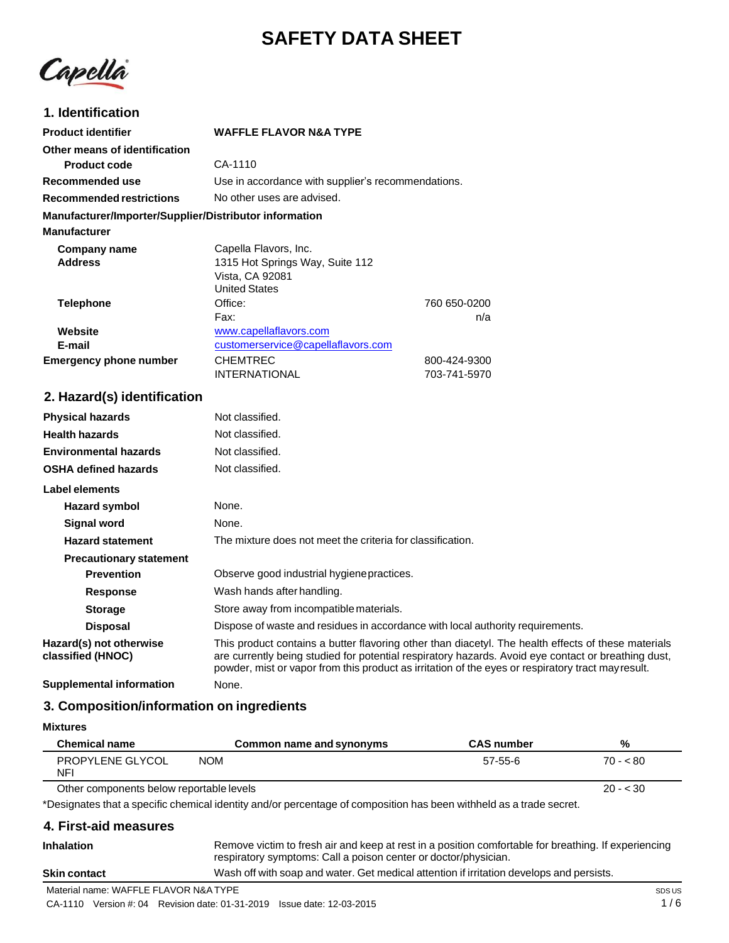# **SAFETY DATA SHEET**

Capella

# **1. Identification**

| <b>Product identifier</b>                              | <b>WAFFLE FLAVOR N&amp;A TYPE</b>                  |              |  |
|--------------------------------------------------------|----------------------------------------------------|--------------|--|
| Other means of identification                          |                                                    |              |  |
| <b>Product code</b>                                    | $CA-1110$                                          |              |  |
| Recommended use                                        | Use in accordance with supplier's recommendations. |              |  |
| <b>Recommended restrictions</b>                        | No other uses are advised.                         |              |  |
| Manufacturer/Importer/Supplier/Distributor information |                                                    |              |  |
| <b>Manufacturer</b>                                    |                                                    |              |  |
| Company name                                           | Capella Flavors, Inc.                              |              |  |
| <b>Address</b>                                         | 1315 Hot Springs Way, Suite 112                    |              |  |
|                                                        | Vista, CA 92081                                    |              |  |
|                                                        | <b>United States</b>                               |              |  |
| <b>Telephone</b>                                       | Office:                                            | 760 650-0200 |  |
|                                                        | Fax:                                               | n/a          |  |
| Website                                                | www.capellaflavors.com                             |              |  |
| E-mail                                                 | customerservice@capellaflavors.com                 |              |  |
| <b>Emergency phone number</b>                          | <b>CHEMTREC</b>                                    | 800-424-9300 |  |
|                                                        | <b>INTERNATIONAL</b>                               | 703-741-5970 |  |

## **2. Hazard(s) identification**

| <b>Physical hazards</b>                      | Not classified.                                                                                                                                                                                                                                                                                                  |  |  |
|----------------------------------------------|------------------------------------------------------------------------------------------------------------------------------------------------------------------------------------------------------------------------------------------------------------------------------------------------------------------|--|--|
| <b>Health hazards</b>                        | Not classified.                                                                                                                                                                                                                                                                                                  |  |  |
| <b>Environmental hazards</b>                 | Not classified.                                                                                                                                                                                                                                                                                                  |  |  |
| <b>OSHA defined hazards</b>                  | Not classified.                                                                                                                                                                                                                                                                                                  |  |  |
| Label elements                               |                                                                                                                                                                                                                                                                                                                  |  |  |
| Hazard symbol                                | None.                                                                                                                                                                                                                                                                                                            |  |  |
| Signal word                                  | None.                                                                                                                                                                                                                                                                                                            |  |  |
| <b>Hazard statement</b>                      | The mixture does not meet the criteria for classification.                                                                                                                                                                                                                                                       |  |  |
| <b>Precautionary statement</b>               |                                                                                                                                                                                                                                                                                                                  |  |  |
| <b>Prevention</b>                            | Observe good industrial hygiene practices.                                                                                                                                                                                                                                                                       |  |  |
| Response                                     | Wash hands after handling.                                                                                                                                                                                                                                                                                       |  |  |
| <b>Storage</b>                               | Store away from incompatible materials.                                                                                                                                                                                                                                                                          |  |  |
| <b>Disposal</b>                              | Dispose of waste and residues in accordance with local authority requirements.                                                                                                                                                                                                                                   |  |  |
| Hazard(s) not otherwise<br>classified (HNOC) | This product contains a butter flavoring other than diacetyl. The health effects of these materials<br>are currently being studied for potential respiratory hazards. Avoid eye contact or breathing dust,<br>powder, mist or vapor from this product as irritation of the eyes or respiratory tract may result. |  |  |
| Supplemental information                     | None.                                                                                                                                                                                                                                                                                                            |  |  |

## **3. Composition/information on ingredients**

#### **Mixtures**

| <b>Chemical name</b>                     | Common name and synonyms | <b>CAS</b> number | %         |
|------------------------------------------|--------------------------|-------------------|-----------|
| PROPYLENE GLYCOL<br><b>NFI</b>           | NOM                      | $57-55-6$         | $70 - 80$ |
| Other components below reportable levels |                          |                   | $20 - 30$ |

\*Designates that a specific chemical identity and/or percentage of composition has been withheld as a trade secret.

#### **4. First-aid measures**

**Inhalation**

Remove victim to fresh air and keep at rest in a position comfortable for breathing. If experiencing respiratory symptoms: Call a poison center or doctor/physician.

**Skin contact** Wash off with soap and water. Get medical attention if irritation develops and persists.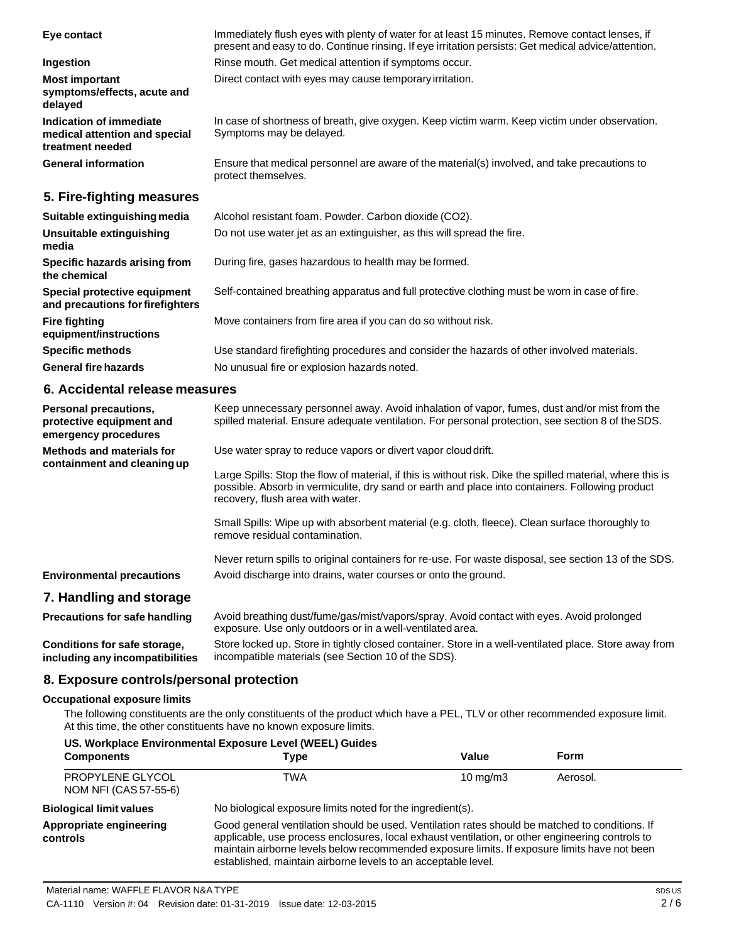| Eye contact                                                                  | Immediately flush eyes with plenty of water for at least 15 minutes. Remove contact lenses, if<br>present and easy to do. Continue rinsing. If eye irritation persists: Get medical advice/attention. |  |  |
|------------------------------------------------------------------------------|-------------------------------------------------------------------------------------------------------------------------------------------------------------------------------------------------------|--|--|
| Ingestion                                                                    | Rinse mouth. Get medical attention if symptoms occur.                                                                                                                                                 |  |  |
| <b>Most important</b><br>symptoms/effects, acute and<br>delayed              | Direct contact with eyes may cause temporary irritation.                                                                                                                                              |  |  |
| Indication of immediate<br>medical attention and special<br>treatment needed | In case of shortness of breath, give oxygen. Keep victim warm. Keep victim under observation.<br>Symptoms may be delayed.                                                                             |  |  |
| <b>General information</b>                                                   | Ensure that medical personnel are aware of the material(s) involved, and take precautions to<br>protect themselves.                                                                                   |  |  |
| 5. Fire-fighting measures                                                    |                                                                                                                                                                                                       |  |  |
| Suitable extinguishing media                                                 | Alcohol resistant foam. Powder. Carbon dioxide (CO2).                                                                                                                                                 |  |  |
| Unsuitable extinguishing<br>media                                            | Do not use water jet as an extinguisher, as this will spread the fire.                                                                                                                                |  |  |
| Specific hazards arising from<br>the chemical                                | During fire, gases hazardous to health may be formed.                                                                                                                                                 |  |  |
| Special protective equipment<br>and precautions for firefighters             | Self-contained breathing apparatus and full protective clothing must be worn in case of fire.                                                                                                         |  |  |
| <b>Fire fighting</b><br>equipment/instructions                               | Move containers from fire area if you can do so without risk.                                                                                                                                         |  |  |
| <b>Specific methods</b>                                                      | Use standard firefighting procedures and consider the hazards of other involved materials.                                                                                                            |  |  |

**General fire hazards**

Use standard firefighting procedures and consider the hazards of other involved materials. No unusual fire or explosion hazards noted.

#### **6. Accidental release measures**

| <b>Personal precautions,</b><br>protective equipment and<br>emergency procedures | Keep unnecessary personnel away. Avoid inhalation of vapor, fumes, dust and/or mist from the<br>spilled material. Ensure adequate ventilation. For personal protection, see section 8 of the SDS.                                                 |
|----------------------------------------------------------------------------------|---------------------------------------------------------------------------------------------------------------------------------------------------------------------------------------------------------------------------------------------------|
| Methods and materials for<br>containment and cleaning up                         | Use water spray to reduce vapors or divert vapor cloud drift.                                                                                                                                                                                     |
|                                                                                  | Large Spills: Stop the flow of material, if this is without risk. Dike the spilled material, where this is<br>possible. Absorb in vermiculite, dry sand or earth and place into containers. Following product<br>recovery, flush area with water. |
|                                                                                  | Small Spills: Wipe up with absorbent material (e.g. cloth, fleece). Clean surface thoroughly to<br>remove residual contamination.                                                                                                                 |
|                                                                                  | Never return spills to original containers for re-use. For waste disposal, see section 13 of the SDS.                                                                                                                                             |
| <b>Environmental precautions</b>                                                 | Avoid discharge into drains, water courses or onto the ground.                                                                                                                                                                                    |
| 7. Handling and storage                                                          |                                                                                                                                                                                                                                                   |
| <b>Precautions for safe handling</b>                                             | Avoid breathing dust/fume/gas/mist/vapors/spray. Avoid contact with eyes. Avoid prolonged<br>exposure. Use only outdoors or in a well-ventilated area.                                                                                            |
| Conditions for safe storage                                                      | Store locked up. Store in tightly closed container. Store in a well-ventilated place. Store away from                                                                                                                                             |

**Conditions for safe storage, including any incompatibilities** tightly closed container. Store in a well-ventilated place. Store away from incompatible materials (see Section 10 of the SDS).

#### **8. Exposure controls/personal protection**

#### **Occupational exposure limits**

The following constituents are the only constituents of the product which have a PEL, TLV or other recommended exposure limit. At this time, the other constituents have no known exposure limits.

| US. Workplace Environmental Exposure Level (WEEL) Guides |                                                                                                                                                                                                                                                                                                                                                                    |                   |          |  |
|----------------------------------------------------------|--------------------------------------------------------------------------------------------------------------------------------------------------------------------------------------------------------------------------------------------------------------------------------------------------------------------------------------------------------------------|-------------------|----------|--|
| <b>Components</b>                                        | Tvpe                                                                                                                                                                                                                                                                                                                                                               | Value             | Form     |  |
| PROPYLENE GLYCOL<br>NOM NFI (CAS 57-55-6)                | TWA                                                                                                                                                                                                                                                                                                                                                                | $10 \text{ mg/m}$ | Aerosol. |  |
| <b>Biological limit values</b>                           | No biological exposure limits noted for the ingredient(s).                                                                                                                                                                                                                                                                                                         |                   |          |  |
| Appropriate engineering<br>controls                      | Good general ventilation should be used. Ventilation rates should be matched to conditions. If<br>applicable, use process enclosures, local exhaust ventilation, or other engineering controls to<br>maintain airborne levels below recommended exposure limits. If exposure limits have not been<br>established, maintain airborne levels to an acceptable level. |                   |          |  |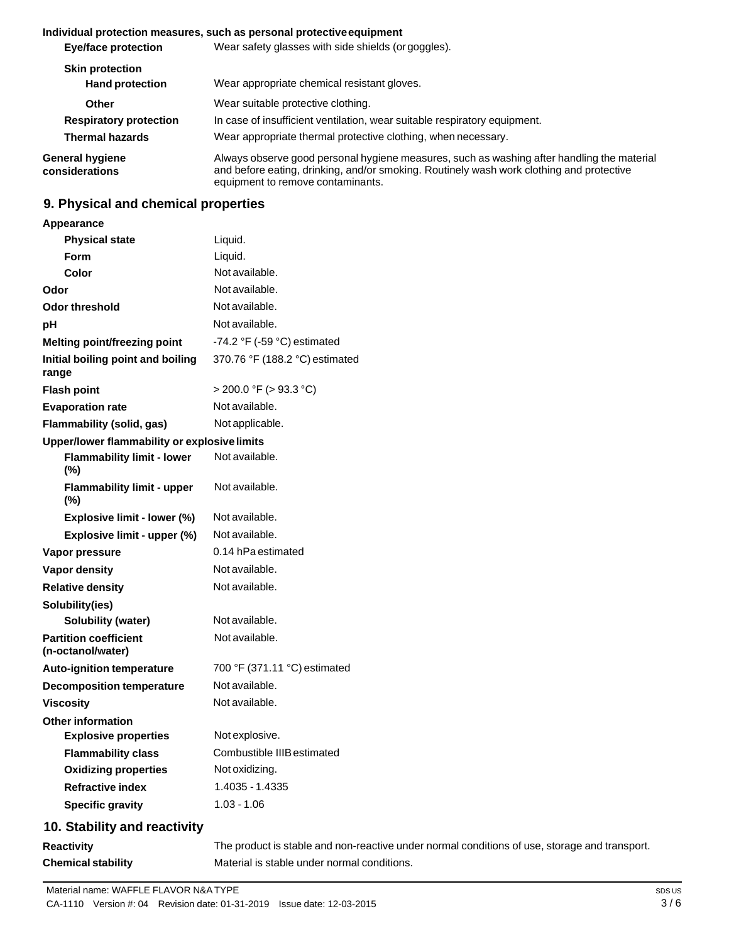#### **Individual protection measures, such as personal protectiveequipment**

| <b>Eye/face protection</b>        | Wear safety glasses with side shields (or goggles).                                                                                                                                                                         |  |  |
|-----------------------------------|-----------------------------------------------------------------------------------------------------------------------------------------------------------------------------------------------------------------------------|--|--|
| <b>Skin protection</b>            |                                                                                                                                                                                                                             |  |  |
| <b>Hand protection</b>            | Wear appropriate chemical resistant gloves.                                                                                                                                                                                 |  |  |
| Other                             | Wear suitable protective clothing.                                                                                                                                                                                          |  |  |
| <b>Respiratory protection</b>     | In case of insufficient ventilation, wear suitable respiratory equipment.                                                                                                                                                   |  |  |
| <b>Thermal hazards</b>            | Wear appropriate thermal protective clothing, when necessary.                                                                                                                                                               |  |  |
| General hygiene<br>considerations | Always observe good personal hygiene measures, such as washing after handling the material<br>and before eating, drinking, and/or smoking. Routinely wash work clothing and protective<br>equipment to remove contaminants. |  |  |

# **9. Physical and chemical properties**

| Appearance                                        |                                               |
|---------------------------------------------------|-----------------------------------------------|
| <b>Physical state</b>                             | Liquid.                                       |
| <b>Form</b>                                       | Liquid.                                       |
| Color                                             | Not available.                                |
| Odor                                              | Not available.                                |
| <b>Odor threshold</b>                             | Not available.                                |
| рH                                                | Not available.                                |
| Melting point/freezing point                      | -74.2 $\degree$ F (-59 $\degree$ C) estimated |
| Initial boiling point and boiling<br>range        | 370.76 °F (188.2 °C) estimated                |
| <b>Flash point</b>                                | $>$ 200.0 °F ( $>$ 93.3 °C)                   |
| <b>Evaporation rate</b>                           | Not available.                                |
| <b>Flammability (solid, gas)</b>                  | Not applicable.                               |
| Upper/lower flammability or explosive limits      |                                               |
| <b>Flammability limit - lower</b><br>(%)          | Not available.                                |
| <b>Flammability limit - upper</b><br>$(\%)$       | Not available.                                |
| Explosive limit - lower (%)                       | Not available.                                |
| Explosive limit - upper (%)                       | Not available.                                |
| Vapor pressure                                    | 0.14 hPa estimated                            |
| <b>Vapor density</b>                              | Not available.                                |
| <b>Relative density</b>                           | Not available.                                |
| Solubility(ies)                                   |                                               |
| <b>Solubility (water)</b>                         | Not available.                                |
| <b>Partition coefficient</b><br>(n-octanol/water) | Not available.                                |
| <b>Auto-ignition temperature</b>                  | 700 °F (371.11 °C) estimated                  |
| <b>Decomposition temperature</b>                  | Not available.                                |
| <b>Viscosity</b>                                  | Not available.                                |
| <b>Other information</b>                          |                                               |
| <b>Explosive properties</b>                       | Not explosive.                                |
| <b>Flammability class</b>                         | Combustible IIIB estimated                    |
| <b>Oxidizing properties</b>                       | Not oxidizing.                                |
| <b>Refractive index</b>                           | 1.4035 - 1.4335                               |
| <b>Specific gravity</b>                           | $1.03 - 1.06$                                 |
| 10. Stability and reactivity                      |                                               |
|                                                   |                                               |

**Reactivity Chemical stability** The product is stable and non-reactive under normal conditions of use, storage and transport. Material is stable under normal conditions.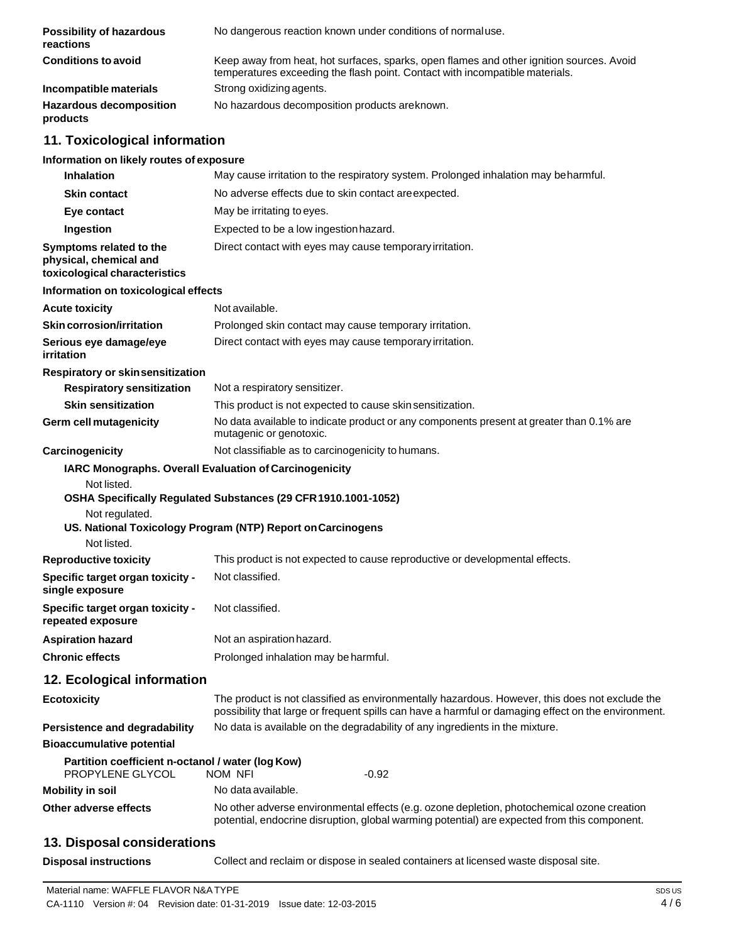| <b>Possibility of hazardous</b><br>reactions                                       | No dangerous reaction known under conditions of normaluse.                                                                                                               |
|------------------------------------------------------------------------------------|--------------------------------------------------------------------------------------------------------------------------------------------------------------------------|
| <b>Conditions to avoid</b>                                                         | Keep away from heat, hot surfaces, sparks, open flames and other ignition sources. Avoid<br>temperatures exceeding the flash point. Contact with incompatible materials. |
| Incompatible materials                                                             | Strong oxidizing agents.                                                                                                                                                 |
| <b>Hazardous decomposition</b><br>products                                         | No hazardous decomposition products areknown.                                                                                                                            |
| 11. Toxicological information                                                      |                                                                                                                                                                          |
| Information on likely routes of exposure                                           |                                                                                                                                                                          |
| <b>Inhalation</b>                                                                  | May cause irritation to the respiratory system. Prolonged inhalation may beharmful.                                                                                      |
| <b>Skin contact</b>                                                                | No adverse effects due to skin contact are expected.                                                                                                                     |
| Eye contact                                                                        | May be irritating to eyes.                                                                                                                                               |
| Ingestion                                                                          | Expected to be a low ingestion hazard.                                                                                                                                   |
| Symptoms related to the<br>physical, chemical and<br>toxicological characteristics | Direct contact with eyes may cause temporary irritation.                                                                                                                 |
| Information on toxicological effects                                               |                                                                                                                                                                          |
| <b>Acute toxicity</b>                                                              | Not available.                                                                                                                                                           |
| Skin corrosion/irritation                                                          | Prolonged skin contact may cause temporary irritation.                                                                                                                   |
| Serious eye damage/eye<br>irritation                                               | Direct contact with eyes may cause temporary irritation.                                                                                                                 |
| Respiratory or skin sensitization                                                  |                                                                                                                                                                          |
| <b>Respiratory sensitization</b>                                                   | Not a respiratory sensitizer.                                                                                                                                            |
| <b>Skin sensitization</b>                                                          | This product is not expected to cause skin sensitization.                                                                                                                |
| Germ cell mutagenicity                                                             | No data available to indicate product or any components present at greater than 0.1% are<br>mutagenic or genotoxic.                                                      |
| Carcinogenicity                                                                    | Not classifiable as to carcinogenicity to humans.                                                                                                                        |
| IARC Monographs. Overall Evaluation of Carcinogenicity                             |                                                                                                                                                                          |
| Not listed.                                                                        |                                                                                                                                                                          |
|                                                                                    | OSHA Specifically Regulated Substances (29 CFR 1910.1001-1052)                                                                                                           |
| Not regulated.                                                                     | US. National Toxicology Program (NTP) Report on Carcinogens                                                                                                              |
| Not listed.                                                                        |                                                                                                                                                                          |
| <b>Reproductive toxicity</b>                                                       | This product is not expected to cause reproductive or developmental effects.                                                                                             |
| Specific target organ toxicity -<br>single exposure                                | Not classified.                                                                                                                                                          |
| Specific target organ toxicity -                                                   | Not classified.                                                                                                                                                          |

| Partition coefficient n-octanol / water (log Kow) |                                                                                                                                                                                            |         |
|---------------------------------------------------|--------------------------------------------------------------------------------------------------------------------------------------------------------------------------------------------|---------|
| PROPYLENE GLYCOL                                  | NOM NFI                                                                                                                                                                                    | $-0.92$ |
| Mobility in soil                                  | No data available.                                                                                                                                                                         |         |
| Other adverse effects                             | No other adverse environmental effects (e.g. ozone depletion, photochemical ozone creation<br>potential, endocrine disruption, global warming potential) are expected from this component. |         |

## **13. Disposal considerations**

**12. Ecological information**

**Persistence and degradability Bioaccumulative potential**

**repeated exposure**

**Ecotoxicity**

**Disposal instructions** Collect and reclaim or dispose in sealed containers at licensed waste disposal site.

No data is available on the degradability of any ingredients in the mixture.

The product is not classified as environmentally hazardous. However, this does not exclude the possibility that large or frequent spills can have a harmful or damaging effect on the environment.

**Aspiration hazard** Not an aspiration hazard.

**Chronic effects** Prolonged inhalation may be harmful.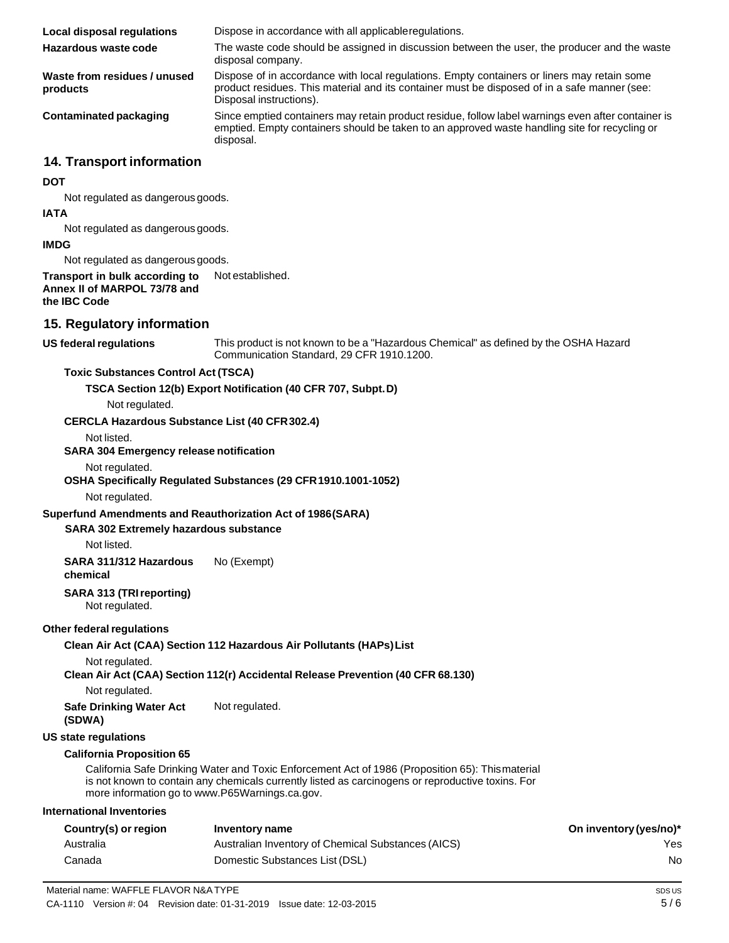|                                                                                                                                | Clean Air Act (CAA) Section 112(r) Accidental Release Prevention (40 CFR 68.130)                                              |  |  |  |
|--------------------------------------------------------------------------------------------------------------------------------|-------------------------------------------------------------------------------------------------------------------------------|--|--|--|
|                                                                                                                                |                                                                                                                               |  |  |  |
| Not regulated.                                                                                                                 |                                                                                                                               |  |  |  |
|                                                                                                                                | Clean Air Act (CAA) Section 112 Hazardous Air Pollutants (HAPs) List                                                          |  |  |  |
| <b>Other federal regulations</b>                                                                                               |                                                                                                                               |  |  |  |
| Not regulated.                                                                                                                 |                                                                                                                               |  |  |  |
| chemical<br><b>SARA 313 (TRI reporting)</b>                                                                                    |                                                                                                                               |  |  |  |
| SARA 311/312 Hazardous                                                                                                         | No (Exempt)                                                                                                                   |  |  |  |
| Not listed.                                                                                                                    |                                                                                                                               |  |  |  |
| <b>SARA 302 Extremely hazardous substance</b>                                                                                  |                                                                                                                               |  |  |  |
|                                                                                                                                | Superfund Amendments and Reauthorization Act of 1986(SARA)                                                                    |  |  |  |
| Not regulated.                                                                                                                 |                                                                                                                               |  |  |  |
|                                                                                                                                | OSHA Specifically Regulated Substances (29 CFR 1910.1001-1052)                                                                |  |  |  |
| Not regulated.                                                                                                                 |                                                                                                                               |  |  |  |
| Not listed.<br><b>SARA 304 Emergency release notification</b>                                                                  |                                                                                                                               |  |  |  |
| <b>CERCLA Hazardous Substance List (40 CFR 302.4)</b>                                                                          |                                                                                                                               |  |  |  |
| Not regulated.                                                                                                                 |                                                                                                                               |  |  |  |
|                                                                                                                                | TSCA Section 12(b) Export Notification (40 CFR 707, Subpt. D)                                                                 |  |  |  |
| <b>Toxic Substances Control Act (TSCA)</b>                                                                                     |                                                                                                                               |  |  |  |
|                                                                                                                                | Communication Standard, 29 CFR 1910.1200.                                                                                     |  |  |  |
| <b>US federal regulations</b>                                                                                                  | This product is not known to be a "Hazardous Chemical" as defined by the OSHA Hazard                                          |  |  |  |
| 15. Regulatory information                                                                                                     |                                                                                                                               |  |  |  |
| Annex II of MARPOL 73/78 and<br>the IBC Code                                                                                   |                                                                                                                               |  |  |  |
| Transport in bulk according to                                                                                                 | Not established.                                                                                                              |  |  |  |
| Not regulated as dangerous goods.                                                                                              |                                                                                                                               |  |  |  |
| <b>IMDG</b>                                                                                                                    |                                                                                                                               |  |  |  |
| Not regulated as dangerous goods.                                                                                              |                                                                                                                               |  |  |  |
| Not regulated as dangerous goods.<br><b>IATA</b>                                                                               |                                                                                                                               |  |  |  |
| DOT                                                                                                                            |                                                                                                                               |  |  |  |
| 14. Transport information                                                                                                      |                                                                                                                               |  |  |  |
|                                                                                                                                | disposal.                                                                                                                     |  |  |  |
| <b>Contaminated packaging</b><br>emptied. Empty containers should be taken to an approved waste handling site for recycling or |                                                                                                                               |  |  |  |
|                                                                                                                                | Disposal instructions).<br>Since emptied containers may retain product residue, follow label warnings even after container is |  |  |  |
| product residues. This material and its container must be disposed of in a safe manner (see:<br>products                       |                                                                                                                               |  |  |  |
| Waste from residues / unused                                                                                                   | disposal company.<br>Dispose of in accordance with local regulations. Empty containers or liners may retain some              |  |  |  |
| Hazardous waste code                                                                                                           | The waste code should be assigned in discussion between the user, the producer and the waste                                  |  |  |  |
|                                                                                                                                | <b>Local disposal regulations</b><br>Dispose in accordance with all applicableregulations.                                    |  |  |  |
|                                                                                                                                |                                                                                                                               |  |  |  |